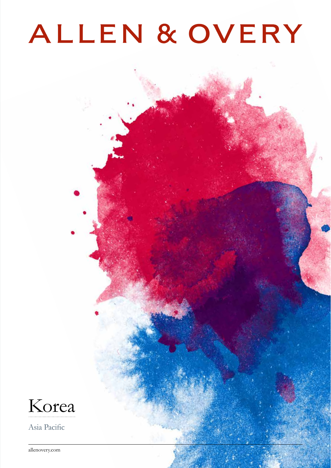# ALLEN & OVERY



Asia Pacific

allenovery.com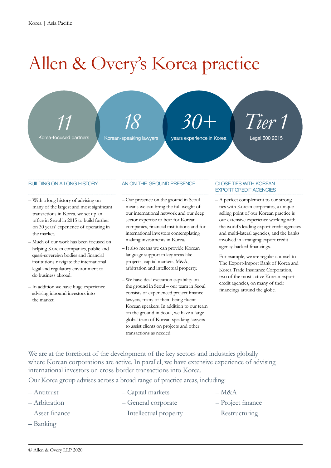## Allen & Overy's Korea practice

*11* Korea-focused partners *18*

Korean-speaking lawyers

*30+* years experience in Korea

*Tier 1* Legal 500 2015

#### BUILDING ON A LONG HISTORY

- With a long history of advising on many of the largest and most significant transactions in Korea, we set up an office in Seoul in 2015 to build further on 30 years' experience of operating in the market.
- Much of our work has been focused on helping Korean companies, public and quasi-sovereign bodies and financial institutions navigate the international legal and regulatory environment to do business abroad.
- In addition we have huge experience advising inbound investors into the market.

#### AN ON-THE-GROUND PRESENCE

- Our presence on the ground in Seoul means we can bring the full weight of our international network and our deep sector expertise to bear for Korean companies, financial institutions and for international investors contemplating making investments in Korea.
- It also means we can provide Korean language support in key areas like projects, capital markets, M&A, arbitration and intellectual property.
- We have deal execution capability on the ground in Seoul – our team in Seoul consists of experienced project finance lawyers, many of them being fluent Korean speakers. In addition to our team on the ground in Seoul, we have a large global team of Korean speaking lawyers to assist clients on projects and other transactions as needed.

#### CLOSE TIES WITH KOREAN EXPORT CREDIT AGENCIES

– A perfect complement to our strong ties with Korean corporates, a unique selling point of our Korean practice is our extensive experience working with the world's leading export credit agencies and multi-lateral agencies, and the banks involved in arranging export credit agency-backed financings.

For example, we are regular counsel to The Export-Import Bank of Korea and Korea Trade Insurance Corporation, two of the most active Korean export credit agencies, on many of their financings around the globe.

We are at the forefront of the development of the key sectors and industries globally where Korean corporations are active. In parallel, we have extensive experience of advising international investors on cross-border transactions into Korea.

Our Korea group advises across a broad range of practice areas, including:

- Antitrust
- Arbitration
- Asset finance
- Banking
- Capital markets
- General corporate
	- Intellectual property
- Project finance – Restructuring

 $-$ M&A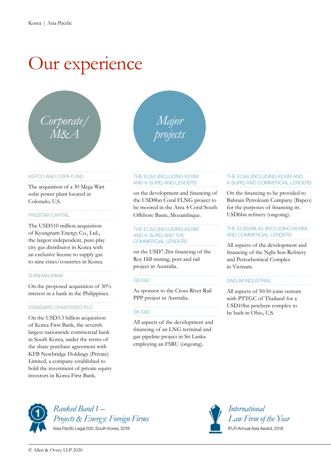### Our experience



#### KEPCO AND COPA FUND

The acquisition of a 30 Mega Watt solar power plant located in Colorado, U.S.

#### PROSTAR CAPITAL

The USD510 million acquisition of Kyungnam Energy Co., Ltd., the largest independent, pure-play city gas distributor in Korea with an exclusive license to supply gas to nine cities/countries in Korea.

#### SHINHAN BANK

On the proposed acquisition of 30% interest in a bank in the Philippines.

#### STANDARD CHARTERED PLC

On the USD3.3 billion acquisition of Korea First Bank, the seventh largest nationwide commercial bank in South Korea, under the terms of the share purchase agreement with KFB Newbridge Holdings (Private) Limited, a company established to hold the investment of private equity investors in Korea First Bank.

*Major*

*projects*

#### THE ECAS (INCLUDING KEXIM AND K-SURE) AND LENDERS

on the development and financing of the USD8bn Coral FLNG project to be moored in the Area 4 Coral South Offshore Basin, Mozambique.

#### THE ECAS (INCLUDING KEXIM AND K-SURE) AND THE COMMERCIAL LENDERS

on the USD7.2bn financing of the Roy Hill mining, port and rail project in Australia.

#### GS E&C

As sponsor to the Cross River Rail PPP project in Australia.

#### SK E&S

All aspects of the development and financing of an LNG terminal and gas pipeline project in Sri Lanka employing an FSRU (ongoing).

#### THE ECAS (INCLUDING KEXIM AND K-SURE) AND COMMERCIAL LENDERS

On the financing to be provided to Bahrain Petroleum Company (Bapco) for the purposes of financing its USD6bn refinery (ongoing).

#### THE ECAS/MLAS (INCLUDING KEXIM) AND COMMERCIAL LENDERS

All aspects of the development and financing of the Nghi Son Refinery and Petrochemical Complex in Vietnam.

#### DAELIM INDUSTRIAL

All aspects of 50:50 joint venture with PTTGC of Thailand for a USD10bn petchem complex to be built in Ohio, U.S.



*Ranked Band 1 – Projects & Energy: Foreign Firms*  Asia Pacific Legal 500, South Korea, 2018



*International Law Firm of the Year* IFLR Annual Asia Award, 2018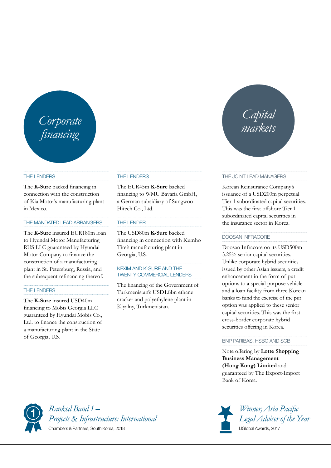## *financing*

#### THE LENDERS

The **K-Sure** backed financing in connection with the construction of Kia Motor's manufacturing plant in Mexico.

#### THE MANDATED LEAD ARRANGERS

The **K-Sure** insured EUR180m loan to Hyundai Motor Manufacturing RUS LLC guaranteed by Hyundai Motor Company to finance the construction of a manufacturing plant in St. Petersburg, Russia, and the subsequent refinancing thereof.

#### THE LENDERS

The **K-Sure** insured USD40m financing to Mobis Georgia LLC guaranteed by Hyundai Mobis Co., Ltd. to finance the construction of a manufacturing plant in the State of Georgia, U.S.

#### THE LENDERS

The EUR45m **K-Sure** backed financing to WMU Bavaria GmbH, a German subsidiary of Sungwoo Hitech Co., Ltd.

#### THE LENDER

The USD80m **K-Sure** backed financing in connection with Kumho Tire's manufacturing plant in Georgia, U.S.

#### KEXIM AND K-SURE AND THE TWENTY COMMERCIAL LENDERS

The financing of the Government of Turkmenistan's USD1.8bn ethane cracker and polyethylene plant in Kiyalny, Turkmenistan.

# *Capital markets Corporate*

#### THE JOINT LEAD MANAGERS

Korean Reinsurance Company's issuance of a USD200m perpetual Tier 1 subordinated capital securities. This was the first offshore Tier 1 subordinated capital securities in the insurance sector in Korea.

#### DOOSAN INFRACORE

Doosan Infracore on its USD500m 3.25% senior capital securities. Unlike corporate hybrid securities issued by other Asian issuers, a credit enhancement in the form of put options to a special purpose vehicle and a loan facility from three Korean banks to fund the exercise of the put option was applied to these senior capital securities. This was the first cross-border corporate hybrid securities offering in Korea.

#### BNP PARIBAS, HSBC AND SCB

Note offering by **Lotte Shopping Business Management (Hong Kong) Limited** and guaranteed by The Export-Import Bank of Korea.



*Ranked Band 1 – Projects & Infrastructure: International*  Chambers & Partners, South Korea, 2018



*Winner, Asia Pacific Legal Adviser of the Year* IJGlobal Awards, 2017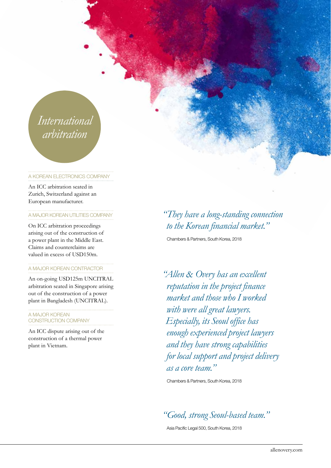### *International arbitration*

#### A KOREAN ELECTRONICS COMPANY

An ICC arbitration seated in Zurich, Switzerland against an European manufacturer.

#### A MAJOR KOREAN UTILITIES COMPANY

On ICC arbitration proceedings arising out of the construction of a power plant in the Middle East. Claims and counterclaims are valued in excess of USD150m.

#### A MAJOR KOREAN CONTRACTOR

An on-going USD125m UNCITRAL arbitration seated in Singapore arising out of the construction of a power plant in Bangladesh (UNCITRAL).

#### A MAJOR KOREAN CONSTRUCTION COMPANY

An ICC dispute arising out of the construction of a thermal power plant in Vietnam.

### *"They have a long-standing connection to the Korean financial market."*

Chambers & Partners, South Korea, 2018

*"Allen & Overy has an excellent reputation in the project finance market and those who I worked with were all great lawyers. Especially, its Seoul office has enough experienced project lawyers and they have strong capabilities for local support and project delivery as a core team."*

Chambers & Partners, South Korea, 2018

*"Good, strong Seoul-based team."* 

Asia Pacific Legal 500, South Korea, 2018